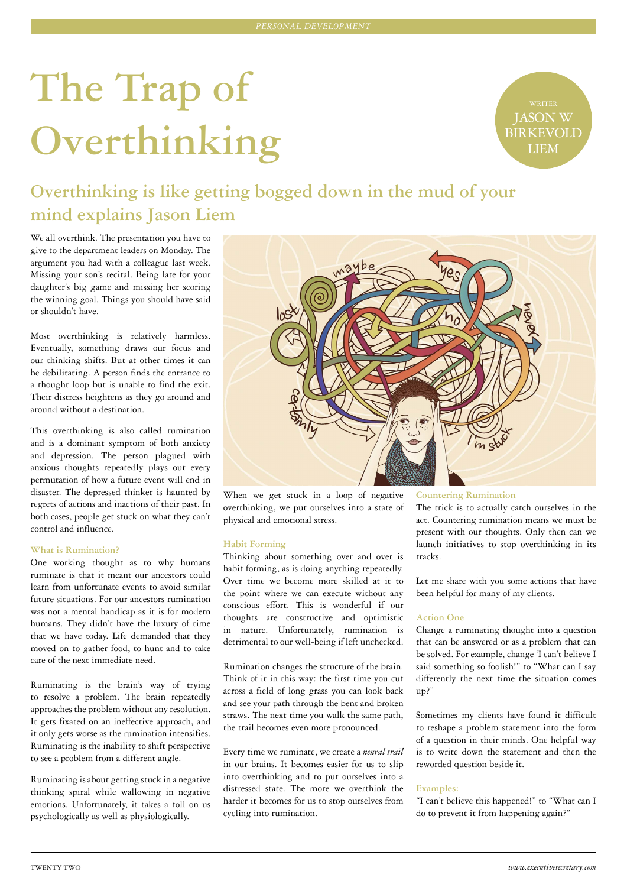# **The Trap of Overthinking**

JASON W BIRKEVOLD LIEM

## **Overthinking is like getting bogged down in the mud of your mind explains Jason Liem**

We all overthink. The presentation you have to give to the department leaders on Monday. The argument you had with a colleague last week. Missing your son's recital. Being late for your daughter's big game and missing her scoring the winning goal. Things you should have said or shouldn't have.

Most overthinking is relatively harmless. Eventually, something draws our focus and our thinking shifts. But at other times it can be debilitating. A person finds the entrance to a thought loop but is unable to find the exit. Their distress heightens as they go around and around without a destination.

This overthinking is also called rumination and is a dominant symptom of both anxiety and depression. The person plagued with anxious thoughts repeatedly plays out every permutation of how a future event will end in disaster. The depressed thinker is haunted by regrets of actions and inactions of their past. In both cases, people get stuck on what they can't control and influence.

#### **What is Rumination?**

One working thought as to why humans ruminate is that it meant our ancestors could learn from unfortunate events to avoid similar future situations. For our ancestors rumination was not a mental handicap as it is for modern humans. They didn't have the luxury of time that we have today. Life demanded that they moved on to gather food, to hunt and to take care of the next immediate need.

Ruminating is the brain's way of trying to resolve a problem. The brain repeatedly approaches the problem without any resolution. It gets fixated on an ineffective approach, and it only gets worse as the rumination intensifies. Ruminating is the inability to shift perspective to see a problem from a different angle.

Ruminating is about getting stuck in a negative thinking spiral while wallowing in negative emotions. Unfortunately, it takes a toll on us psychologically as well as physiologically.



When we get stuck in a loop of negative overthinking, we put ourselves into a state of physical and emotional stress.

#### **Habit Forming**

Thinking about something over and over is habit forming, as is doing anything repeatedly. Over time we become more skilled at it to the point where we can execute without any conscious effort. This is wonderful if our thoughts are constructive and optimistic in nature. Unfortunately, rumination is detrimental to our well-being if left unchecked.

Rumination changes the structure of the brain. Think of it in this way: the first time you cut across a field of long grass you can look back and see your path through the bent and broken straws. The next time you walk the same path, the trail becomes even more pronounced.

Every time we ruminate, we create a *neural trail*  in our brains. It becomes easier for us to slip into overthinking and to put ourselves into a distressed state. The more we overthink the harder it becomes for us to stop ourselves from cycling into rumination.

**Countering Rumination**

The trick is to actually catch ourselves in the act. Countering rumination means we must be present with our thoughts. Only then can we launch initiatives to stop overthinking in its tracks.

Let me share with you some actions that have been helpful for many of my clients.

#### **Action One**

Change a ruminating thought into a question that can be answered or as a problem that can be solved. For example, change 'I can't believe I said something so foolish!" to "What can I say differently the next time the situation comes up?"

Sometimes my clients have found it difficult to reshape a problem statement into the form of a question in their minds. One helpful way is to write down the statement and then the reworded question beside it.

#### **Examples:**

"I can't believe this happened!" to "What can I do to prevent it from happening again?"